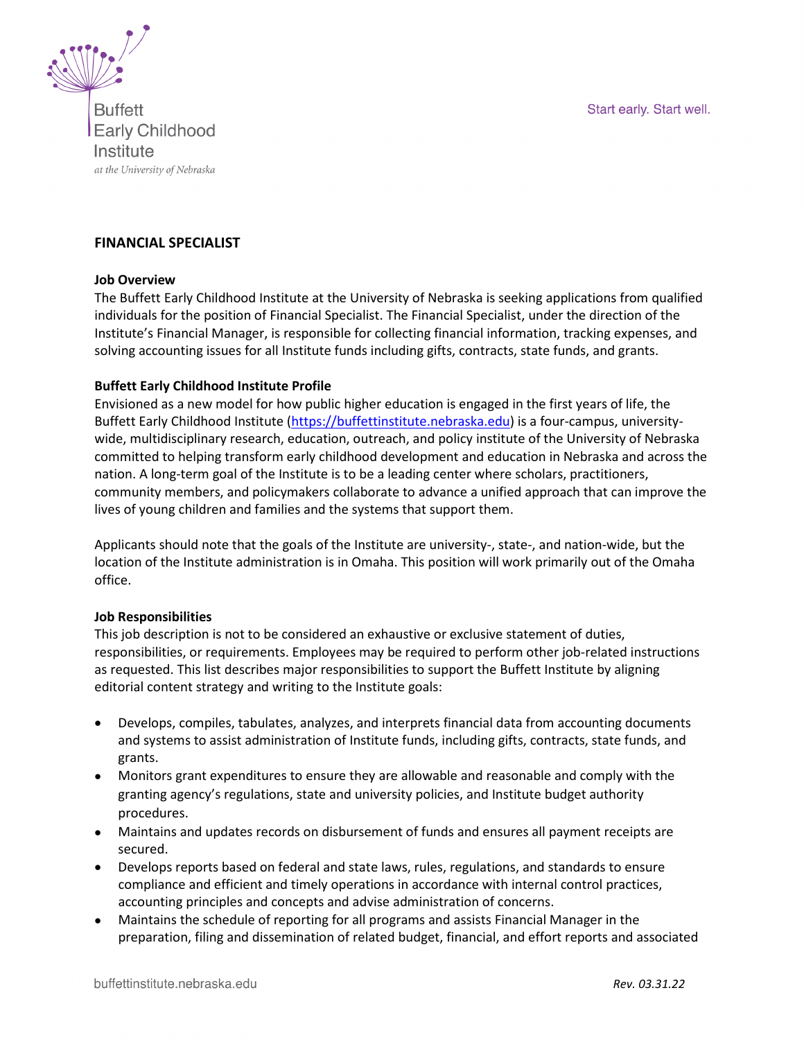Start early. Start well.



**Buffett Early Childhood** Institute at the University of Nebraska

# **FINANCIAL SPECIALIST**

#### **Job Overview**

The Buffett Early Childhood Institute at the University of Nebraska is seeking applications from qualified individuals for the position of Financial Specialist. The Financial Specialist, under the direction of the Institute's Financial Manager, is responsible for collecting financial information, tracking expenses, and solving accounting issues for all Institute funds including gifts, contracts, state funds, and grants.

#### **Buffett Early Childhood Institute Profile**

Envisioned as a new model for how public higher education is engaged in the first years of life, the Buffett Early Childhood Institute [\(https://buffettinstitute.nebraska.edu\)](https://buffettinstitute.nebraska.edu/) is a four-campus, universitywide, multidisciplinary research, education, outreach, and policy institute of the University of Nebraska committed to helping transform early childhood development and education in Nebraska and across the nation. A long-term goal of the Institute is to be a leading center where scholars, practitioners, community members, and policymakers collaborate to advance a unified approach that can improve the lives of young children and families and the systems that support them.

Applicants should note that the goals of the Institute are university-, state-, and nation-wide, but the location of the Institute administration is in Omaha. This position will work primarily out of the Omaha office.

#### **Job Responsibilities**

This job description is not to be considered an exhaustive or exclusive statement of duties, responsibilities, or requirements. Employees may be required to perform other job-related instructions as requested. This list describes major responsibilities to support the Buffett Institute by aligning editorial content strategy and writing to the Institute goals:

- Develops, compiles, tabulates, analyzes, and interprets financial data from accounting documents and systems to assist administration of Institute funds, including gifts, contracts, state funds, and grants.
- Monitors grant expenditures to ensure they are allowable and reasonable and comply with the granting agency's regulations, state and university policies, and Institute budget authority procedures.
- Maintains and updates records on disbursement of funds and ensures all payment receipts are secured.
- Develops reports based on federal and state laws, rules, regulations, and standards to ensure compliance and efficient and timely operations in accordance with internal control practices, accounting principles and concepts and advise administration of concerns.
- Maintains the schedule of reporting for all programs and assists Financial Manager in the preparation, filing and dissemination of related budget, financial, and effort reports and associated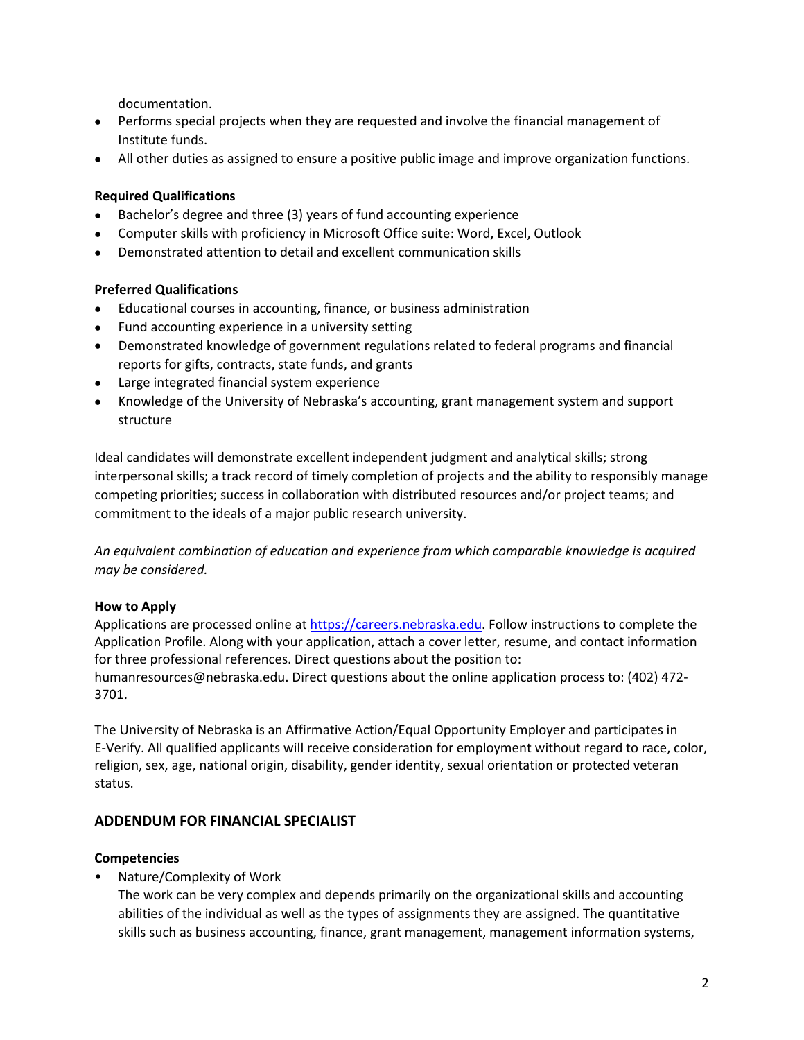documentation.

- Performs special projects when they are requested and involve the financial management of Institute funds.
- All other duties as assigned to ensure a positive public image and improve organization functions.

### **Required Qualifications**

- Bachelor's degree and three (3) years of fund accounting experience
- Computer skills with proficiency in Microsoft Office suite: Word, Excel, Outlook
- Demonstrated attention to detail and excellent communication skills

### **Preferred Qualifications**

- Educational courses in accounting, finance, or business administration
- Fund accounting experience in a university setting
- Demonstrated knowledge of government regulations related to federal programs and financial reports for gifts, contracts, state funds, and grants
- Large integrated financial system experience
- Knowledge of the University of Nebraska's accounting, grant management system and support structure

Ideal candidates will demonstrate excellent independent judgment and analytical skills; strong interpersonal skills; a track record of timely completion of projects and the ability to responsibly manage competing priorities; success in collaboration with distributed resources and/or project teams; and commitment to the ideals of a major public research university.

*An equivalent combination of education and experience from which comparable knowledge is acquired may be considered.* 

# **How to Apply**

Applications are processed online at [https://careers.nebraska.edu.](https://careers.nebraska.edu/) Follow instructions to complete the Application Profile. Along with your application, attach a cover letter, resume, and contact information for three professional references. Direct questions about the position to:

humanresources@nebraska.edu. Direct questions about the online application process to: (402) 472- 3701.

The University of Nebraska is an Affirmative Action/Equal Opportunity Employer and participates in E-Verify. All qualified applicants will receive consideration for employment without regard to race, color, religion, sex, age, national origin, disability, gender identity, sexual orientation or protected veteran status.

# **ADDENDUM FOR FINANCIAL SPECIALIST**

### **Competencies**

• Nature/Complexity of Work

The work can be very complex and depends primarily on the organizational skills and accounting abilities of the individual as well as the types of assignments they are assigned. The quantitative skills such as business accounting, finance, grant management, management information systems,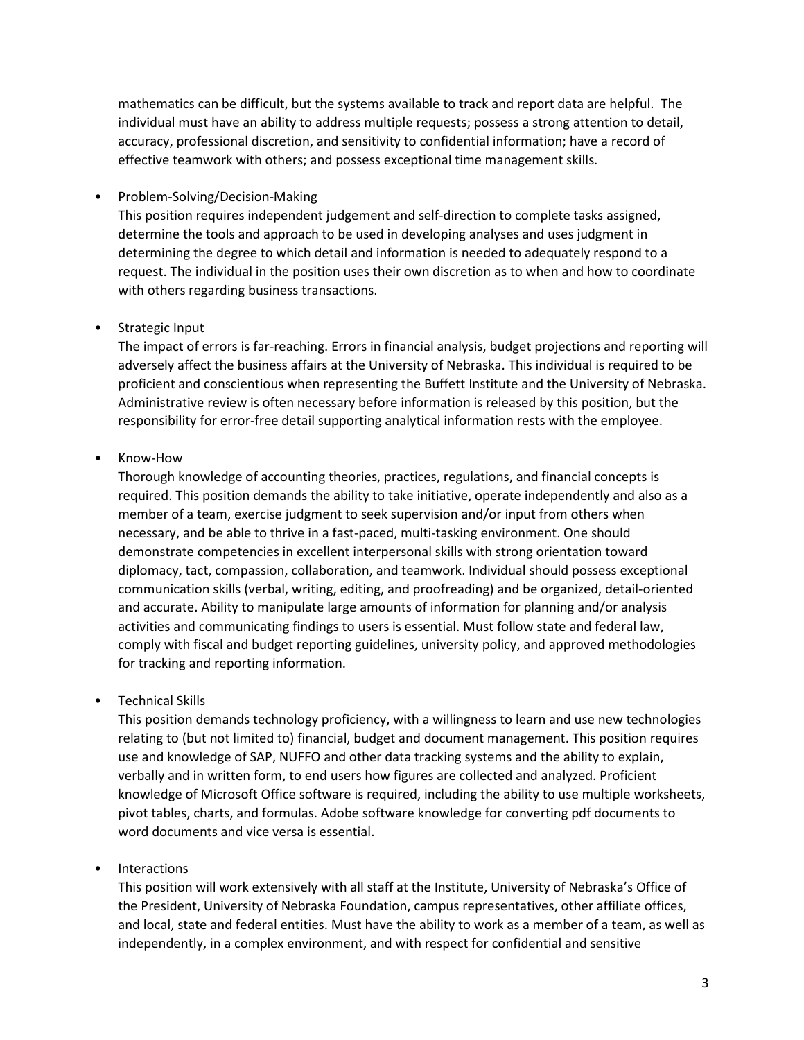mathematics can be difficult, but the systems available to track and report data are helpful. The individual must have an ability to address multiple requests; possess a strong attention to detail, accuracy, professional discretion, and sensitivity to confidential information; have a record of effective teamwork with others; and possess exceptional time management skills.

### • Problem-Solving/Decision-Making

This position requires independent judgement and self-direction to complete tasks assigned, determine the tools and approach to be used in developing analyses and uses judgment in determining the degree to which detail and information is needed to adequately respond to a request. The individual in the position uses their own discretion as to when and how to coordinate with others regarding business transactions.

# • Strategic Input

The impact of errors is far-reaching. Errors in financial analysis, budget projections and reporting will adversely affect the business affairs at the University of Nebraska. This individual is required to be proficient and conscientious when representing the Buffett Institute and the University of Nebraska. Administrative review is often necessary before information is released by this position, but the responsibility for error-free detail supporting analytical information rests with the employee.

# • Know-How

Thorough knowledge of accounting theories, practices, regulations, and financial concepts is required. This position demands the ability to take initiative, operate independently and also as a member of a team, exercise judgment to seek supervision and/or input from others when necessary, and be able to thrive in a fast-paced, multi-tasking environment. One should demonstrate competencies in excellent interpersonal skills with strong orientation toward diplomacy, tact, compassion, collaboration, and teamwork. Individual should possess exceptional communication skills (verbal, writing, editing, and proofreading) and be organized, detail-oriented and accurate. Ability to manipulate large amounts of information for planning and/or analysis activities and communicating findings to users is essential. Must follow state and federal law, comply with fiscal and budget reporting guidelines, university policy, and approved methodologies for tracking and reporting information.

# • Technical Skills

This position demands technology proficiency, with a willingness to learn and use new technologies relating to (but not limited to) financial, budget and document management. This position requires use and knowledge of SAP, NUFFO and other data tracking systems and the ability to explain, verbally and in written form, to end users how figures are collected and analyzed. Proficient knowledge of Microsoft Office software is required, including the ability to use multiple worksheets, pivot tables, charts, and formulas. Adobe software knowledge for converting pdf documents to word documents and vice versa is essential.

# • Interactions

This position will work extensively with all staff at the Institute, University of Nebraska's Office of the President, University of Nebraska Foundation, campus representatives, other affiliate offices, and local, state and federal entities. Must have the ability to work as a member of a team, as well as independently, in a complex environment, and with respect for confidential and sensitive